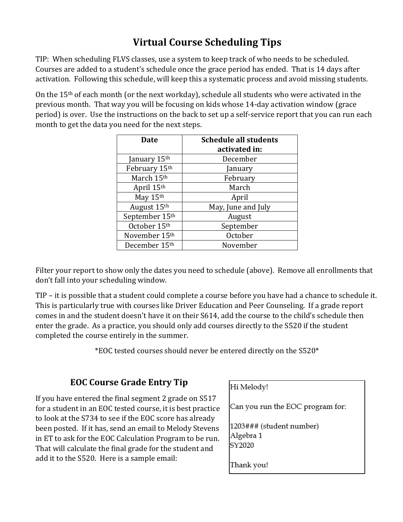## **Virtual Course Scheduling Tips**

TIP: When scheduling FLVS classes, use a system to keep track of who needs to be scheduled. Courses are added to a student's schedule once the grace period has ended. That is 14 days after activation. Following this schedule, will keep this a systematic process and avoid missing students.

On the 15th of each month (or the next workday), schedule all students who were activated in the previous month. That way you will be focusing on kids whose 14-day activation window (grace period) is over. Use the instructions on the back to set up a self-service report that you can run each month to get the data you need for the next steps.

| <b>Date</b>    | <b>Schedule all students</b><br>activated in: |  |  |
|----------------|-----------------------------------------------|--|--|
| January 15th   | December                                      |  |  |
| February 15th  | January<br>February                           |  |  |
| March 15th     |                                               |  |  |
| April 15th     | March                                         |  |  |
| May 15th       | April                                         |  |  |
| August 15th    | May, June and July                            |  |  |
| September 15th | August                                        |  |  |
| October 15th   | September                                     |  |  |
| November 15th  | October                                       |  |  |
| December 15th  | November                                      |  |  |

Filter your report to show only the dates you need to schedule (above). Remove all enrollments that don't fall into your scheduling window.

TIP – it is possible that a student could complete a course before you have had a chance to schedule it. This is particularly true with courses like Driver Education and Peer Counseling. If a grade report comes in and the student doesn't have it on their S614, add the course to the child's schedule then enter the grade. As a practice, you should only add courses directly to the S520 if the student completed the course entirely in the summer.

\*EOC tested courses should never be entered directly on the S520\*

## **EOC Course Grade Entry Tip**

If you have entered the final segment 2 grade on S517 for a student in an EOC tested course, it is best practice to look at the S734 to see if the EOC score has already been posted. If it has, send an email to Melody Stevens in ET to ask for the EOC Calculation Program to be run. That will calculate the final grade for the student and add it to the S520. Here is a sample email:

Hi Melody! Can you run the EOC program for: 1203### (student number) Algebra 1 SY2020 Thank you!